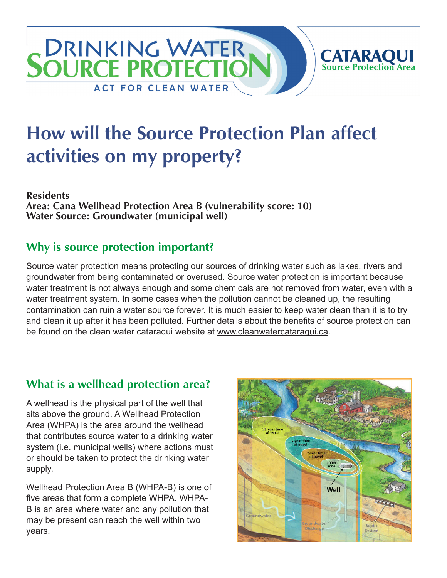# **DRINKING WATER CATARAQUI**<br>Source Protection Area **SOURCE PROTECTIC ACT FOR CLEAN WATER**

# **How will the Source Protection Plan affect activities on my property?**

#### **Residents**

**Area: Cana Wellhead Protection Area B (vulnerability score: 10) Water Source: Groundwater (municipal well)**

### **Why is source protection important?**

Source water protection means protecting our sources of drinking water such as lakes, rivers and groundwater from being contaminated or overused. Source water protection is important because water treatment is not always enough and some chemicals are not removed from water, even with a water treatment system. In some cases when the pollution cannot be cleaned up, the resulting contamination can ruin a water source forever. It is much easier to keep water clean than it is to try and clean it up after it has been polluted. Further details about the benefits of source protection can be found on the clean water cataraqui website at [www.cleanwatercataraqui.ca.](http://www.cleanwatercataraqui.ca)

# **What is a wellhead protection area?**

A wellhead is the physical part of the well that sits above the ground. A Wellhead Protection Area (WHPA) is the area around the wellhead that contributes source water to a drinking water system (i.e. municipal wells) where actions must or should be taken to protect the drinking water supply.

Wellhead Protection Area B (WHPA-B) is one of five areas that form a complete WHPA. WHPA-B is an area where water and any pollution that may be present can reach the well within two years.

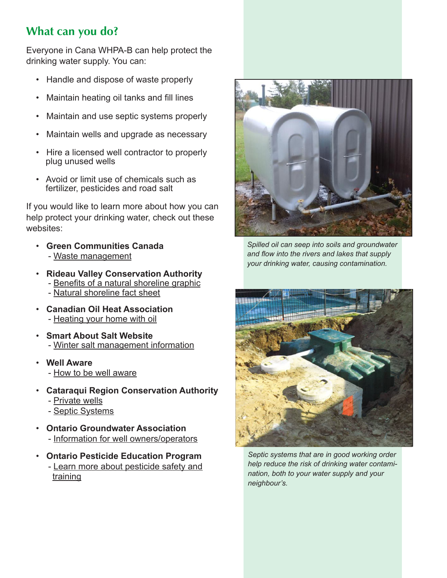# **What can you do?**

Everyone in Cana WHPA-B can help protect the drinking water supply. You can:

- Handle and dispose of waste properly
- Maintain heating oil tanks and fill lines
- Maintain and use septic systems properly
- Maintain wells and upgrade as necessary
- Hire a licensed well contractor to properly plug unused wells
- Avoid or limit use of chemicals such as fertilizer, pesticides and road salt

If you would like to learn more about how you can help protect your drinking water, check out these websites:

- **Green Communities Canada** - [Waste management](http://www.greencommunities.nonprofitwebsites.ca/what-we-work-on/waste/)
- **Rideau Valley Conservation Authority** - [Benefits of a natural shoreline graphic](http://www.crca.ca/wp-content/uploads/PDFs/ShorelineNaturalization-RVCA.pdf) - [Natural shoreline fact sheet](http://www.rvca.ca/programs/shoreline_naturalization_program/PDF/Benefits%20of%20a%20Natural%20Shoreline.pdf)
- **Canadian Oil Heat Association** - [Heating your home with oil](http://www.coha-ontario.ca/)
- **Smart About Salt Website** - [Winter salt management information](http://www.smartaboutsalt.com/)
- **Well Aware** - [How to be well aware](http://www.wellaware.ca/)
- **Cataraqui Region Conservation Authority**
	- - [Private wells](http://www.cleanwatercataraqui.ca/publications/private_wells.pdf)
	- - [Septic Systems](http://www.cleanwatercataraqui.ca/publications/septic_systems.pdf)
- **Ontario Groundwater Association** - [Information for well owners/operators](http://www.ogwa.ca/)
- **Ontario Pesticide Education Program** - [Learn more about pesticide safety and](http://www.opep.ca/)  [training](http://www.opep.ca/)



*Spilled oil can seep into soils and groundwater and flow into the rivers and lakes that supply your drinking water, causing contamination.*



*Septic systems that are in good working order help reduce the risk of drinking water contamination, both to your water supply and your neighbour's.*